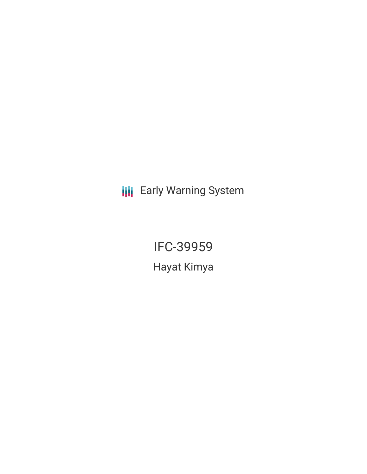**III** Early Warning System

IFC-39959 Hayat Kimya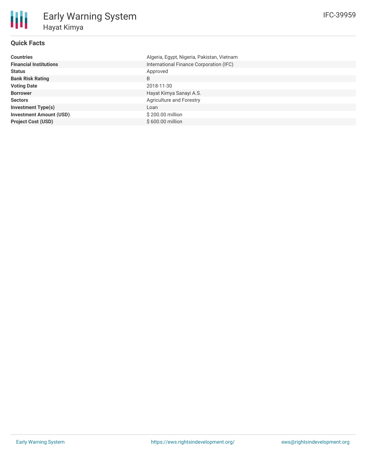### **Quick Facts**

朋

| <b>Countries</b>               | Algeria, Egypt, Nigeria, Pakistan, Vietnam |
|--------------------------------|--------------------------------------------|
| <b>Financial Institutions</b>  | International Finance Corporation (IFC)    |
| <b>Status</b>                  | Approved                                   |
| <b>Bank Risk Rating</b>        | B                                          |
| <b>Voting Date</b>             | 2018-11-30                                 |
| <b>Borrower</b>                | Hayat Kimya Sanayi A.S.                    |
| <b>Sectors</b>                 | Agriculture and Forestry                   |
| <b>Investment Type(s)</b>      | Loan                                       |
| <b>Investment Amount (USD)</b> | \$200.00 million                           |
| <b>Project Cost (USD)</b>      | \$600.00 million                           |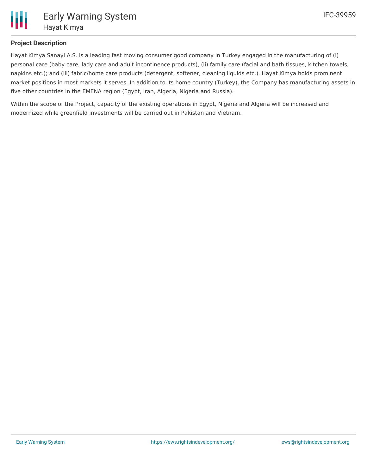

### **Project Description**

Hayat Kimya Sanayi A.S. is a leading fast moving consumer good company in Turkey engaged in the manufacturing of (i) personal care (baby care, lady care and adult incontinence products), (ii) family care (facial and bath tissues, kitchen towels, napkins etc.); and (iii) fabric/home care products (detergent, softener, cleaning liquids etc.). Hayat Kimya holds prominent market positions in most markets it serves. In addition to its home country (Turkey), the Company has manufacturing assets in five other countries in the EMENA region (Egypt, Iran, Algeria, Nigeria and Russia).

Within the scope of the Project, capacity of the existing operations in Egypt, Nigeria and Algeria will be increased and modernized while greenfield investments will be carried out in Pakistan and Vietnam.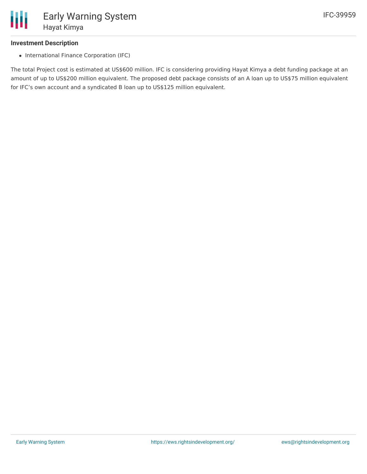

#### **Investment Description**

• International Finance Corporation (IFC)

The total Project cost is estimated at US\$600 million. IFC is considering providing Hayat Kimya a debt funding package at an amount of up to US\$200 million equivalent. The proposed debt package consists of an A loan up to US\$75 million equivalent for IFC's own account and a syndicated B loan up to US\$125 million equivalent.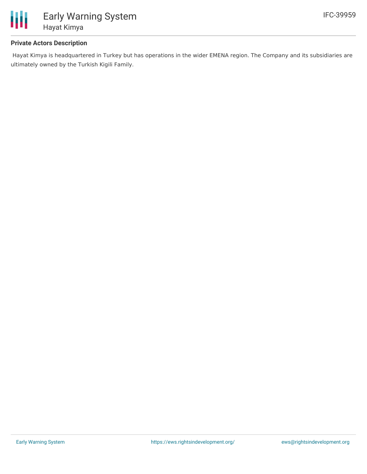

#### **Private Actors Description**

Hayat Kimya is headquartered in Turkey but has operations in the wider EMENA region. The Company and its subsidiaries are ultimately owned by the Turkish Kigili Family.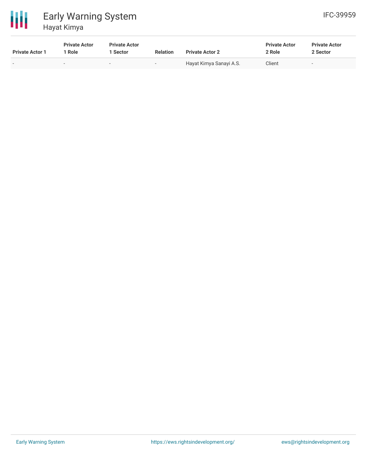

## 冊 Early Warning System Hayat Kimya

| <b>Private Actor 1</b> | <b>Private Actor</b><br><sup>1</sup> Role | <b>Private Actor</b><br>  Sector | <b>Relation</b> | <b>Private Actor 2</b>  | <b>Private Actor</b><br>2 Role | <b>Private Actor</b><br>2 Sector |
|------------------------|-------------------------------------------|----------------------------------|-----------------|-------------------------|--------------------------------|----------------------------------|
| $\sim$                 | -                                         | $\sim$                           |                 | Hayat Kimya Sanayi A.S. | Client                         | $\sim$                           |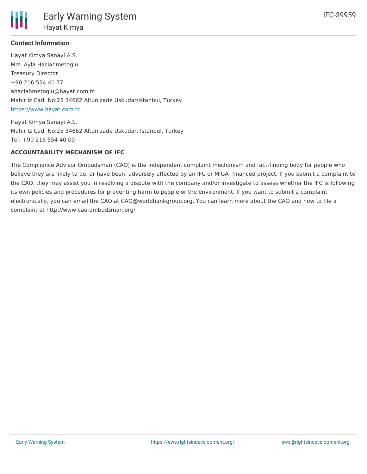

# **Contact Information**

Hayat Kimya Sanayi A.S. Mrs. Ayla Haciahmetoglu Treasury Director +90 216 554 41 77 ahaciahmetoglu@hayat.com.tr Mahir Iz Cad. No:25 34662 Altunizade Uskudar/Istanbul, Turkey <https://www.hayat.com.tr>

Hayat Kimya Sanayi A.S. Mahir Iz Cad. No:25 34662 Altunizade Uskudar, Istanbul, Turkey Tel: +90 216 554 40 00

#### **ACCOUNTABILITY MECHANISM OF IFC**

The Compliance Advisor Ombudsman (CAO) is the independent complaint mechanism and fact-finding body for people who believe they are likely to be, or have been, adversely affected by an IFC or MIGA- financed project. If you submit a complaint to the CAO, they may assist you in resolving a dispute with the company and/or investigate to assess whether the IFC is following its own policies and procedures for preventing harm to people or the environment. If you want to submit a complaint electronically, you can email the CAO at CAO@worldbankgroup.org. You can learn more about the CAO and how to file a complaint at http://www.cao-ombudsman.org/